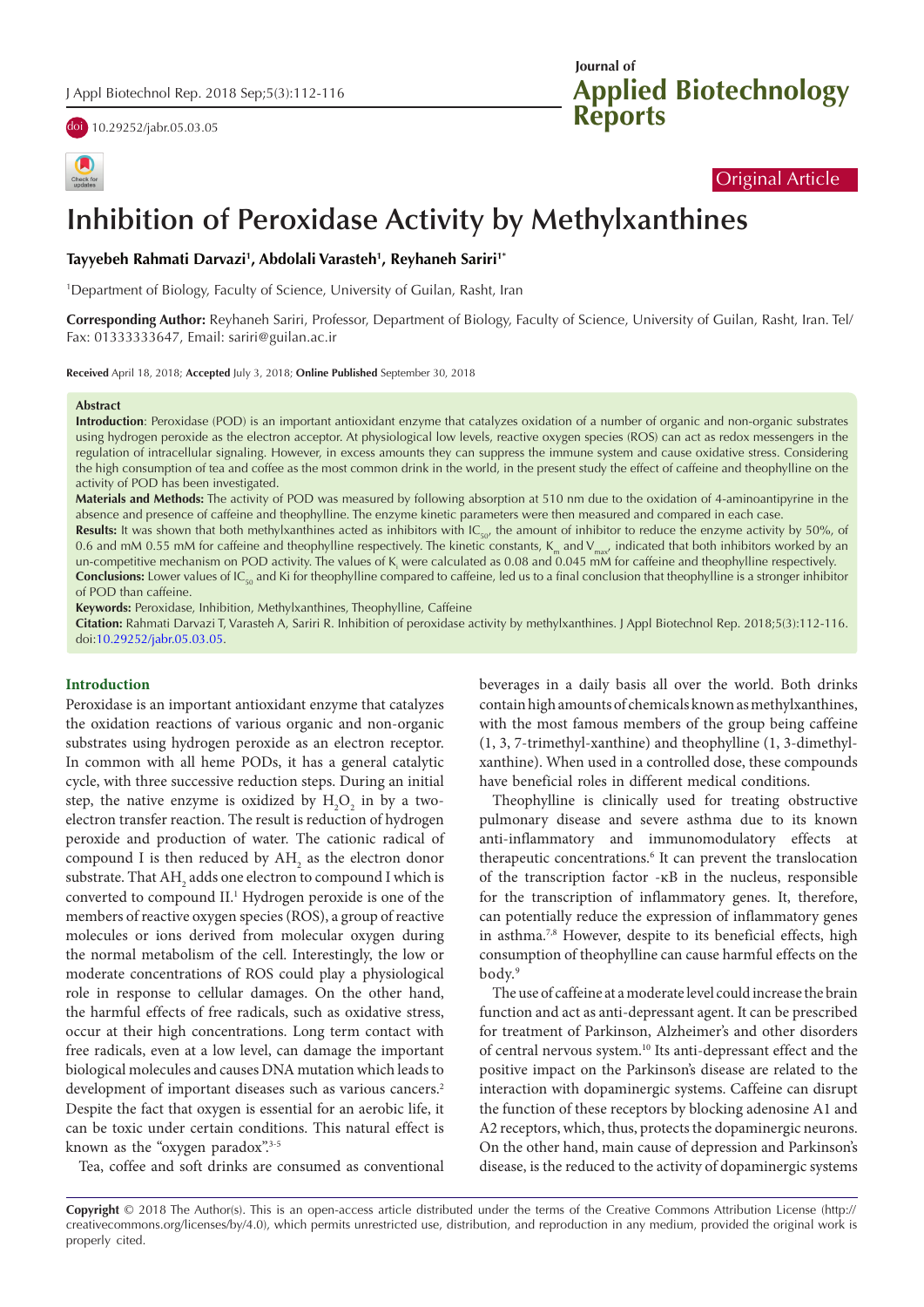doi [10.29252/jabr.05.03.05](https://doi.org/10.29252/jabr.05.03.05)

| Check for<br>updates |
|----------------------|

# **Applied Biotechnology Reports Journal of**

## Original Article

# **Inhibition of Peroxidase Activity by Methylxanthines**

**Tayyebeh Rahmati Darvazi1 , Abdolali Varasteh1 , Reyhaneh Sariri1\***

1 Department of Biology, Faculty of Science, University of Guilan, Rasht, Iran

**Corresponding Author:** Reyhaneh Sariri, Professor, Department of Biology, Faculty of Science, University of Guilan, Rasht, Iran. Tel/ Fax: 01333333647, Email: sariri@guilan.ac.ir

**Received** April 18, 2018; **Accepted** July 3, 2018; **Online Published** September 30, 2018

#### **Abstract**

**Introduction**: Peroxidase (POD) is an important antioxidant enzyme that catalyzes oxidation of a number of organic and non-organic substrates using hydrogen peroxide as the electron acceptor. At physiological low levels, reactive oxygen species (ROS) can act as redox messengers in the regulation of intracellular signaling. However, in excess amounts they can suppress the immune system and cause oxidative stress. Considering the high consumption of tea and coffee as the most common drink in the world, in the present study the effect of caffeine and theophylline on the activity of POD has been investigated.

**Materials and Methods:** The activity of POD was measured by following absorption at 510 nm due to the oxidation of 4-aminoantipyrine in the absence and presence of caffeine and theophylline. The enzyme kinetic parameters were then measured and compared in each case.

Results: It was shown that both methylxanthines acted as inhibitors with IC<sub>50</sub>, the amount of inhibitor to reduce the enzyme activity by 50%, of 0.6 and mM 0.55 mM for caffeine and theophylline respectively. The kinetic constants,  $K_m$  and  $V_{\text{max}}$  indicated that both inhibitors worked by an un-competitive mechanism on POD activity. The values of  $K_i$  were calculated as 0.08 and 0.045 mM for caffeine and theophylline respectively. **Conclusions:** Lower values of IC<sub>50</sub> and Ki for theophylline compared to caffeine, led us to a final conclusion that theophylline is a stronger inhibitor of POD than caffeine.

**Keywords:** Peroxidase, Inhibition, Methylxanthines, Theophylline, Caffeine

**Citation:** Rahmati Darvazi T, Varasteh A, Sariri R. Inhibition of peroxidase activity by methylxanthines. J Appl Biotechnol Rep. 2018;5(3):112-116. doi[:10.29252/jabr.05.03.05.](https://doi.org/10.29252/jabr.05.03.05)

#### **Introduction**

Peroxidase is an important antioxidant enzyme that catalyzes the oxidation reactions of various organic and non-organic substrates using hydrogen peroxide as an electron receptor. In common with all heme PODs, it has a general catalytic cycle, with three successive reduction steps. During an initial step, the native enzyme is oxidized by  $H_2O_2$  in by a twoelectron transfer reaction. The result is reduction of hydrogen peroxide and production of water. The cationic radical of compound I is then reduced by  $AH_2$  as the electron donor substrate. That AH<sub>2</sub> adds one electron to compound I which is converted to compound II.<sup>1</sup> Hydrogen peroxide is one of the members of reactive oxygen species (ROS), a group of reactive molecules or ions derived from molecular oxygen during the normal metabolism of the cell. Interestingly, the low or moderate concentrations of ROS could play a physiological role in response to cellular damages. On the other hand, the harmful effects of free radicals, such as oxidative stress, occur at their high concentrations. Long term contact with free radicals, even at a low level, can damage the important biological molecules and causes DNA mutation which leads to development of important diseases such as various cancers.<sup>2</sup> Despite the fact that oxygen is essential for an aerobic life, it can be toxic under certain conditions. This natural effect is known as the "oxygen paradox".<sup>3-5</sup>

Tea, coffee and soft drinks are consumed as conventional

beverages in a daily basis all over the world. Both drinks contain high amounts of chemicals known as methylxanthines, with the most famous members of the group being caffeine (1, 3, 7-trimethyl-xanthine) and theophylline (1, 3-dimethylxanthine). When used in a controlled dose, these compounds have beneficial roles in different medical conditions.

Theophylline is clinically used for treating obstructive pulmonary disease and severe asthma due to its known anti-inflammatory and immunomodulatory effects at therapeutic concentrations.<sup>6</sup> It can prevent the translocation of the transcription factor -ĸB in the nucleus, responsible for the transcription of inflammatory genes. It, therefore, can potentially reduce the expression of inflammatory genes in asthma.<sup>7,8</sup> However, despite to its beneficial effects, high consumption of theophylline can cause harmful effects on the body.9

The use of caffeine at a moderate level could increase the brain function and act as anti-depressant agent. It can be prescribed for treatment of Parkinson, Alzheimer's and other disorders of central nervous system.10 Its anti-depressant effect and the positive impact on the Parkinson's disease are related to the interaction with dopaminergic systems. Caffeine can disrupt the function of these receptors by blocking adenosine A1 and A2 receptors, which, thus, protects the dopaminergic neurons. On the other hand, main cause of depression and Parkinson's disease, is the reduced to the activity of dopaminergic systems

**Copyright** © 2018 The Author(s). This is an open-access article distributed under the terms of the Creative Commons Attribution License (http:// creativecommons.org/licenses/by/4.0), which permits unrestricted use, distribution, and reproduction in any medium, provided the original work is properly cited.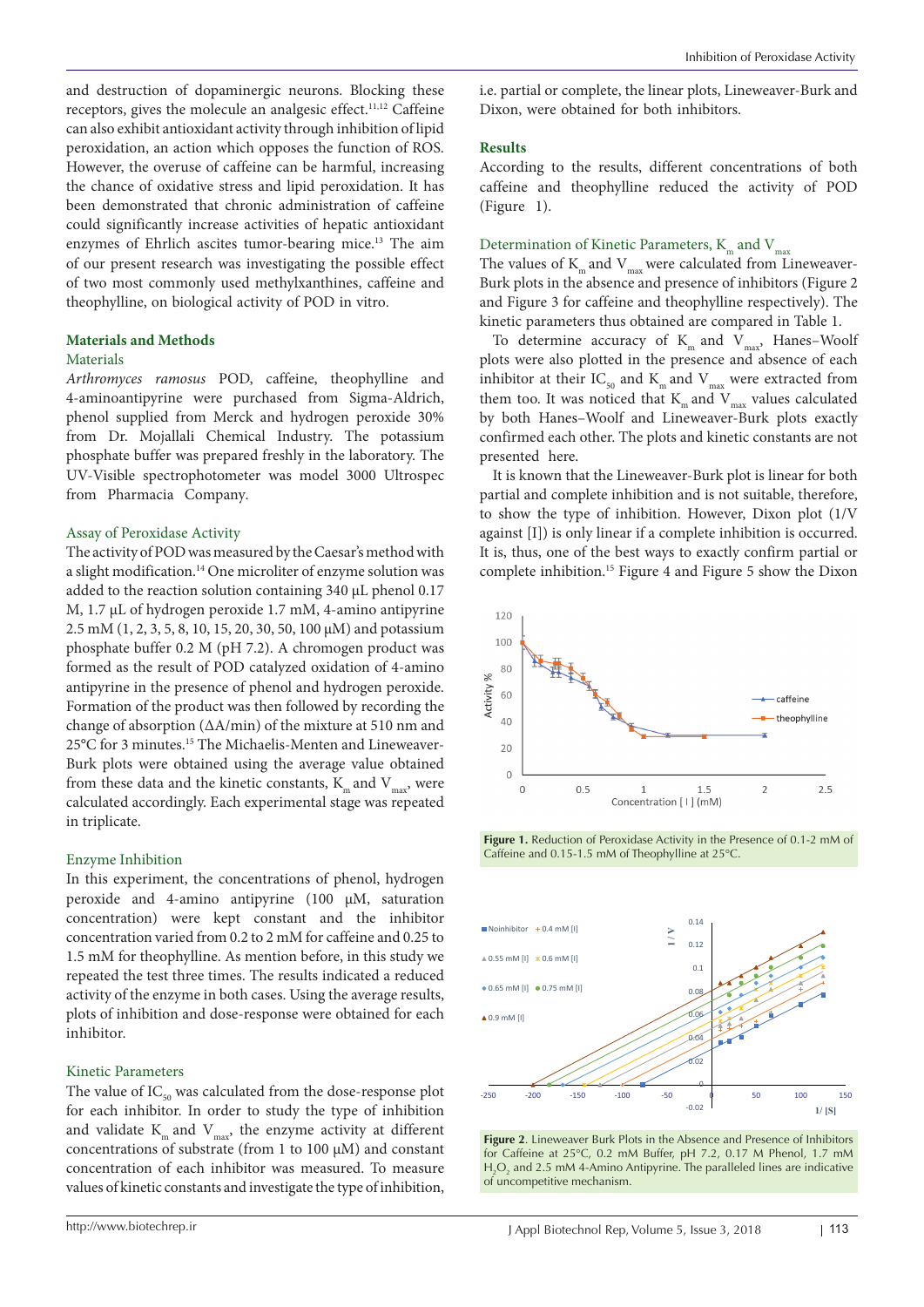and destruction of dopaminergic neurons. Blocking these receptors, gives the molecule an analgesic effect.<sup>11,12</sup> Caffeine can also exhibit antioxidant activity through inhibition of lipid peroxidation, an action which opposes the function of ROS. However, the overuse of caffeine can be harmful, increasing the chance of oxidative stress and lipid peroxidation. It has been demonstrated that chronic administration of caffeine could significantly increase activities of hepatic antioxidant enzymes of Ehrlich ascites tumor-bearing mice.<sup>13</sup> The aim of our present research was investigating the possible effect of two most commonly used methylxanthines, caffeine and theophylline, on biological activity of POD in vitro.

# **Materials and Methods**

## Materials

*Arthromyces ramosus* POD, caffeine, theophylline and 4-aminoantipyrine were purchased from Sigma-Aldrich, phenol supplied from Merck and hydrogen peroxide 30% from Dr. Mojallali Chemical Industry. The potassium phosphate buffer was prepared freshly in the laboratory. The UV-Visible spectrophotometer was model 3000 Ultrospec from Pharmacia Company.

## Assay of Peroxidase Activity

The activity of POD was measured by the Caesar's method with a slight modification.14 One microliter of enzyme solution was added to the reaction solution containing 340 μL phenol 0.17 M, 1.7 μL of hydrogen peroxide 1.7 mM, 4-amino antipyrine 2.5 mM (1, 2, 3, 5, 8, 10, 15, 20, 30, 50, 100 μM) and potassium phosphate buffer 0.2 M (pH 7.2). A chromogen product was formed as the result of POD catalyzed oxidation of 4-amino antipyrine in the presence of phenol and hydrogen peroxide. Formation of the product was then followed by recording the change of absorption (ΔA/min) of the mixture at 510 nm and 25°C for 3 minutes.15 The Michaelis-Menten and Lineweaver-Burk plots were obtained using the average value obtained from these data and the kinetic constants,  $K_m$  and  $V_{max}$ , were calculated accordingly. Each experimental stage was repeated in triplicate.

#### Enzyme Inhibition

In this experiment, the concentrations of phenol, hydrogen peroxide and 4-amino antipyrine (100 μM, saturation concentration) were kept constant and the inhibitor concentration varied from 0.2 to 2 mM for caffeine and 0.25 to 1.5 mM for theophylline. As mention before, in this study we repeated the test three times. The results indicated a reduced activity of the enzyme in both cases. Using the average results, plots of inhibition and dose-response were obtained for each inhibitor.

#### Kinetic Parameters

The value of  $IC_{50}$  was calculated from the dose-response plot for each inhibitor. In order to study the type of inhibition and validate  $K_m$  and  $V_{marg}$ , the enzyme activity at different concentrations of substrate (from 1 to 100  $\mu$ M) and constant concentration of each inhibitor was measured. To measure values of kinetic constants and investigate the type of inhibition,

## i.e. partial or complete, the linear plots, Lineweaver-Burk and Dixon, were obtained for both inhibitors.

### **Results**

According to the results, different concentrations of both caffeine and theophylline reduced the activity of POD (Figure 1).

# Determination of Kinetic Parameters,  $K_{m}$  and  $V_{max}$

The values of  $K<sub>m</sub>$  and  $V<sub>max</sub>$  were calculated from Lineweaver-Burk plots in the absence and presence of inhibitors (Figure 2 and Figure 3 for caffeine and theophylline respectively). The kinetic parameters thus obtained are compared in Table 1.

To determine accuracy of  $K<sub>m</sub>$  and  $V<sub>max</sub>$ , Hanes–Woolf plots were also plotted in the presence and absence of each inhibitor at their  $\text{IC}_{_{50}}$  and  $\text{K}_{_{\text{m}}}$  and  $\text{V}_{_{\text{max}}}$  were extracted from them too. It was noticed that  $K_{m}$  and  $V_{max}$  values calculated by both Hanes–Woolf and Lineweaver-Burk plots exactly confirmed each other. The plots and kinetic constants are not presented here.

It is known that the Lineweaver-Burk plot is linear for both partial and complete inhibition and is not suitable, therefore, to show the type of inhibition. However, Dixon plot (1/V against [I]) is only linear if a complete inhibition is occurred. It is, thus, one of the best ways to exactly confirm partial or complete inhibition.15 Figure 4 and Figure 5 show the Dixon



Figure 1. Reduction of Peroxidase Activity in the Presence of 0.1-2 mM of Caffeine and 0.15-1.5 mM of Theophylline at 25°C.



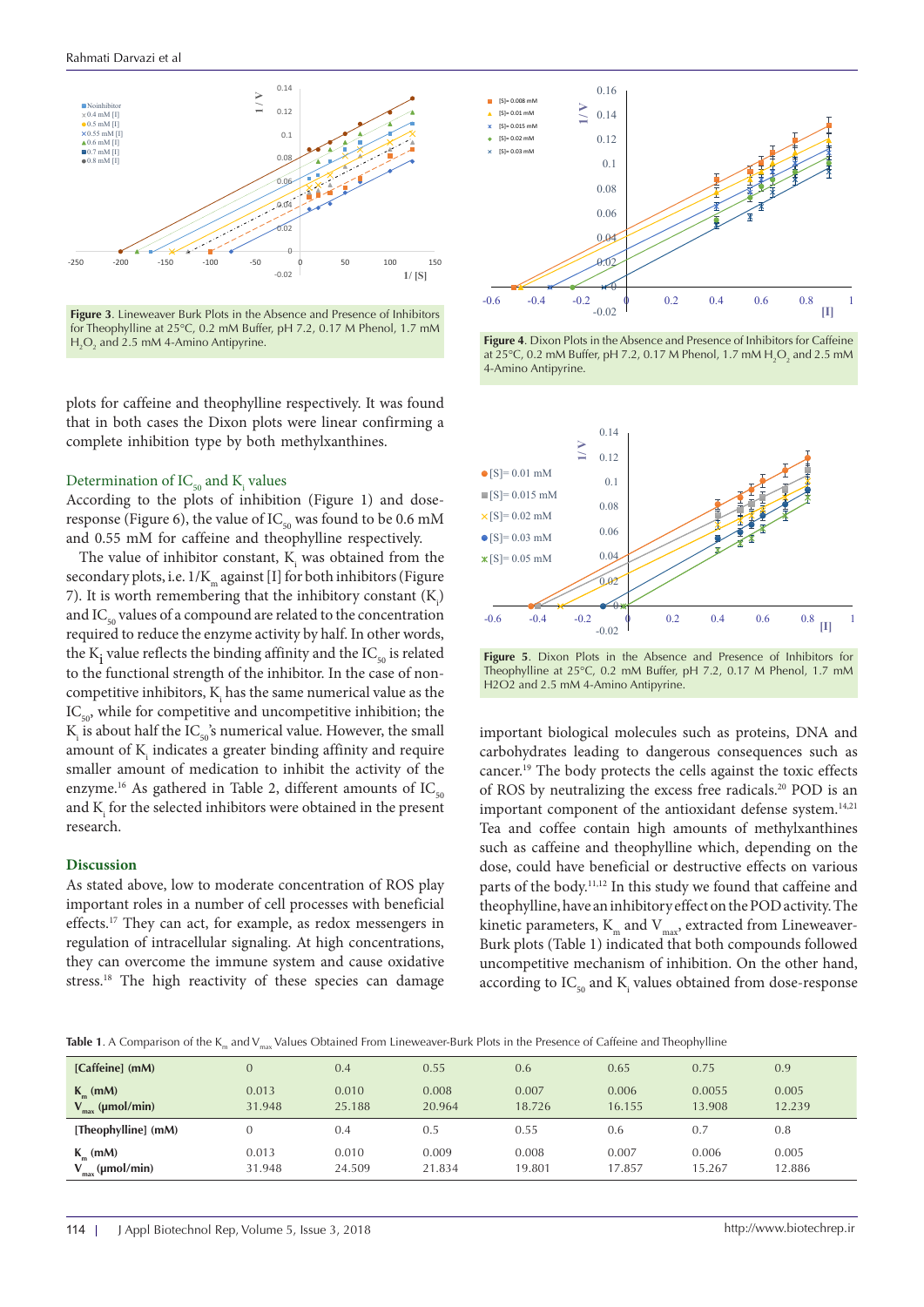

**Figure 3.** Lineweaver Burk Plots in the Absence and Presence of Inhibitors for Theophylline at  $25^{\circ}$ C, 0.2 mM Buffer, pH 7.2, 0.17 M Phenol, 1.7 mM  $H_2O_2$  and 2.5 mM 4-Amino Antipyrine.

plots for caffeine and theophylline respectively. It was found that in both cases the Dixon plots were linear confirming a complete inhibition type by both methylxanthines.

# Determination of  $IC_{50}$  and  $K_i$  values

According to the plots of inhibition (Figure 1) and doseresponse (Figure 6), the value of  $IC_{50}$  was found to be 0.6 mM and 0.55 mM for caffeine and theophylline respectively.

> The value of inhibitor constant,  $K_i$  was obtained from the secondary plots, i.e.  $1/K_{m}$  against [I] for both inhibitors (Figure 7). It is worth remembering that the inhibitory constant  $(K_i)$ and  $IC_{50}$  values of a compound are related to the concentration required to reduce the enzyme activity by half. In other words, the  $K_i$  value reflects the binding affinity and the  $IC_{50}$  is related to the functional strength of the inhibitor. In the case of noncompetitive inhibitors,  $\mathbf{K}_{\text{i}}$  has the same numerical value as the  $IC_{50}$ , while for competitive and uncompetitive inhibition; the  $\rm K_i$  is about half the  $\rm IC_{50}$  's numerical value. However, the small amount of  $K$ <sub>i</sub> indicates a greater binding affinity and require smaller amount of medication to inhibit the activity of the enzyme.<sup>16</sup> As gathered in Table 2, different amounts of  $IC_{50}$ and  $\mathbf{K}_{\text{i}}$  for the selected inhibitors were obtained in the present research.

#### **Discussion**

As stated above, low to moderate concentration of ROS play important roles in a number of cell processes with beneficial effects.17 They can act, for example, as redox messengers in regulation of intracellular signaling. At high concentrations, they can overcome the immune system and cause oxidative stress.<sup>18</sup> The high reactivity of these species can damage



**Figure 4.** Dixon Plots in the Absence and Presence of Inhibitors for Caffeine at 25°C, 0.2 mM Buffer, pH 7.2, 0.17 M Phenol, 1.7 mM  $H_2O_2$  and 2.5 mM 4-Amino Antipyrine.



**Figure 5**. Dixon Plots in the Absence and Presence of Inhibitors for Theophylline at 25°C, 0.2 mM Buffer, pH 7.2, 0.17 M Phenol, 1.7 mM H2O2 and 2.5 mM 4-Amino Antipyrine.

important biological molecules such as proteins, DNA and carbohydrates leading to dangerous consequences such as cancer.19 The body protects the cells against the toxic effects of ROS by neutralizing the excess free radicals.20 POD is an important component of the antioxidant defense system.<sup>14,21</sup> Tea and coffee contain high amounts of methylxanthines such as caffeine and theophylline which, depending on the dose, could have beneficial or destructive effects on various parts of the body.<sup>11,12</sup> In this study we found that caffeine and theophylline, have an inhibitory effect on the POD activity. The kinetic parameters,  $K_m$  and  $V_{\text{max}}$ , extracted from Lineweaver-Burk plots (Table 1) indicated that both compounds followed uncompetitive mechanism of inhibition. On the other hand, according to  $\mathrm{IC}_{_{50}}$  and  $\mathrm{K}_{_{\mathrm{i}}}$  values obtained from dose-response

Table 1. A Comparison of the K<sub>m</sub> and V<sub>max</sub> Values Obtained From Lineweaver-Burk Plots in the Presence of Caffeine and Theophylline

| [Caffeine] (mM)             | $\overline{0}$ | 0.4    | 0.55   | 0.6    | 0.65   | 0.75   | 0.9    |
|-----------------------------|----------------|--------|--------|--------|--------|--------|--------|
| $K_m$ (mM)                  | 0.013          | 0.010  | 0.008  | 0.007  | 0.006  | 0.0055 | 0.005  |
| $V_{\text{max}}$ (µmol/min) | 31.948         | 25.188 | 20.964 | 18.726 | 16.155 | 13.908 | 12.239 |
| [Theophylline] (mM)         | $\Omega$       | 0.4    | 0.5    | 0.55   | 0.6    | 0.7    | 0.8    |
| $K_m$ (mM)                  | 0.013          | 0.010  | 0.009  | 0.008  | 0.007  | 0.006  | 0.005  |
| $V_{max}$ (µmol/min)        | 31.948         | 24.509 | 21.834 | 19.801 | 17.857 | 15.267 | 12.886 |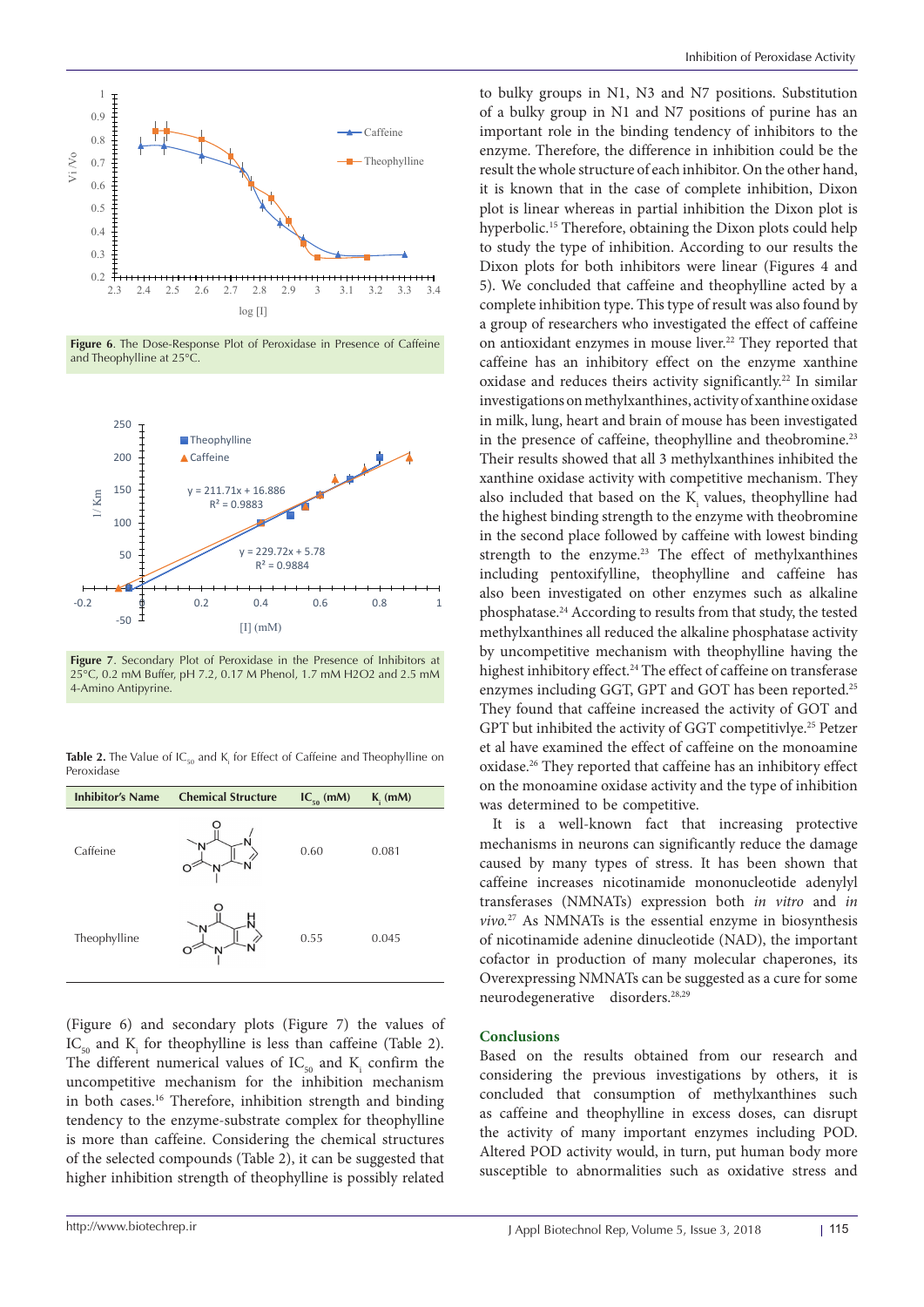

**Figure 6**. The Dose-Response Plot of Peroxidase in Presence of Caffeine and Theophylline at 25°C.



**Figure 7**. Secondary Plot of Peroxidase in the Presence of Inhibitors at 25°C, 0.2 mM Buffer, pH 7.2, 0.17 M Phenol, 1.7 mM H2O2 and 2.5 mM 4-Amino Antipyrine.

**Table 2.** The Value of IC<sub>50</sub> and K<sub>i</sub> for Effect of Caffeine and Theophylline on Peroxidase

| <b>Inhibitor's Name</b> | <b>Chemical Structure</b> | $IC_{50}$ (mM) | $Ki$ (mM) |  |
|-------------------------|---------------------------|----------------|-----------|--|
| Caffeine                | N<br>O                    | 0.60           | 0.081     |  |
| Theophylline            |                           | 0.55           | 0.045     |  |

(Figure 6) and secondary plots (Figure 7) the values of  $\text{IC}_{50}$  and  $\text{K}_{i}$  for theophylline is less than caffeine (Table 2). The different numerical values of  $IC_{50}$  and  $K_i$  confirm the uncompetitive mechanism for the inhibition mechanism in both cases.16 Therefore, inhibition strength and binding tendency to the enzyme-substrate complex for theophylline is more than caffeine. Considering the chemical structures of the selected compounds (Table 2), it can be suggested that higher inhibition strength of theophylline is possibly related

to bulky groups in N1, N3 and N7 positions. Substitution of a bulky group in N1 and N7 positions of purine has an important role in the binding tendency of inhibitors to the enzyme. Therefore, the difference in inhibition could be the result the whole structure of each inhibitor. On the other hand, it is known that in the case of complete inhibition, Dixon plot is linear whereas in partial inhibition the Dixon plot is hyperbolic.<sup>15</sup> Therefore, obtaining the Dixon plots could help to study the type of inhibition. According to our results the Dixon plots for both inhibitors were linear (Figures 4 and 5). We concluded that caffeine and theophylline acted by a complete inhibition type. This type of result was also found by a group of researchers who investigated the effect of caffeine on antioxidant enzymes in mouse liver.22 They reported that caffeine has an inhibitory effect on the enzyme xanthine oxidase and reduces theirs activity significantly.<sup>22</sup> In similar investigations on methylxanthines, activity of xanthine oxidase in milk, lung, heart and brain of mouse has been investigated in the presence of caffeine, theophylline and theobromine.<sup>23</sup> Their results showed that all 3 methylxanthines inhibited the xanthine oxidase activity with competitive mechanism. They also included that based on the  $K_i$  values, theophylline had the highest binding strength to the enzyme with theobromine in the second place followed by caffeine with lowest binding strength to the enzyme.<sup>23</sup> The effect of methylxanthines including pentoxifylline, theophylline and caffeine has also been investigated on other enzymes such as alkaline phosphatase.24 According to results from that study, the tested methylxanthines all reduced the alkaline phosphatase activity by uncompetitive mechanism with theophylline having the highest inhibitory effect.<sup>24</sup> The effect of caffeine on transferase enzymes including GGT, GPT and GOT has been reported.<sup>25</sup> They found that caffeine increased the activity of GOT and GPT but inhibited the activity of GGT competitivlye.<sup>25</sup> Petzer et al have examined the effect of caffeine on the monoamine oxidase.26 They reported that caffeine has an inhibitory effect on the monoamine oxidase activity and the type of inhibition was determined to be competitive.

It is a well-known fact that increasing protective mechanisms in neurons can significantly reduce the damage caused by many types of stress. It has been shown that caffeine increases nicotinamide mononucleotide adenylyl transferases (NMNATs) expression both *in vitro* and *in vivo.*27 As NMNATs is the essential enzyme in biosynthesis of nicotinamide adenine dinucleotide (NAD), the important cofactor in production of many molecular chaperones, its Overexpressing NMNATs can be suggested as a cure for some neurodegenerative disorders.28,29

#### **Conclusions**

Based on the results obtained from our research and considering the previous investigations by others, it is concluded that consumption of methylxanthines such as caffeine and theophylline in excess doses, can disrupt the activity of many important enzymes including POD. Altered POD activity would, in turn, put human body more susceptible to abnormalities such as oxidative stress and